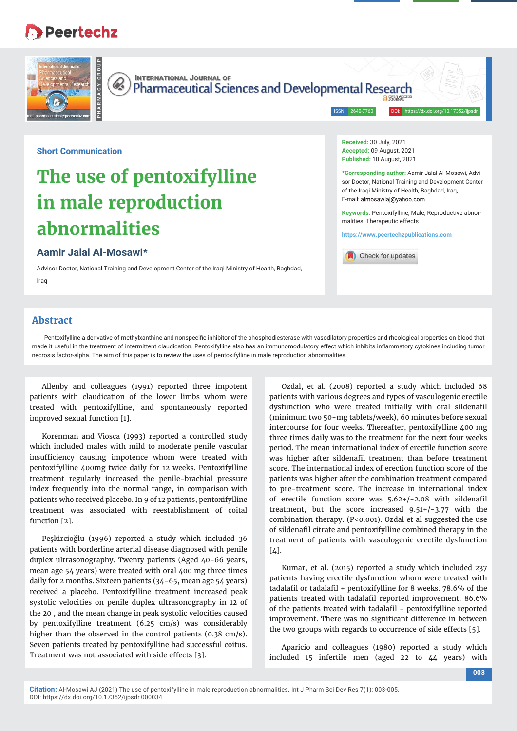## **Peertechz**



**Short Communication**

# **The use of pentoxifylline in male reproduction abnormalities**

### **Aamir Jalal Al-Mosawi\***

Advisor Doctor, National Training and Development Center of the Iraqi Ministry of Health, Baghdad, Iraq

**Abstract**

Pentoxifylline a derivative of methylxanthine and nonspecific inhibitor of the phosphodiesterase with vasodilatory properties and rheological properties on blood that made it useful in the treatment of intermittent claudication. Pentoxifylline also has an immunomodulatory effect which inhibits inflammatory cytokines including tumor necrosis factor-alpha. The aim of this paper is to review the uses of pentoxifylline in male reproduction abnormalities.

Allenby and colleagues (1991) reported three impotent patients with claudication of the lower limbs whom were treated with pentoxifylline, and spontaneously reported improved sexual function [1].

Korenman and Viosca (1993) reported a controlled study which included males with mild to moderate penile vascular insufficiency causing impotence whom were treated with pentoxifylline 400mg twice daily for 12 weeks. Pentoxifylline treatment regularly increased the penile-brachial pressure index frequently into the normal range, in comparison with patients who received placebo. In 9 of 12 patients, pentoxifylline treatment was associated with reestablishment of coital function [2].

Peşkircioğlu (1996) reported a study which included 36 patients with borderline arterial disease diagnosed with penile duplex ultrasonography. Twenty patients (Aged 40-66 years, mean age 54 years) were treated with oral 400 mg three times daily for 2 months. Sixteen patients (34-65, mean age 54 years) received a placebo. Pentoxifylline treatment increased peak systolic velocities on penile duplex ultrasonography in 12 of the 20 , and the mean change in peak systolic velocities caused by pentoxifylline treatment (6.25 cm/s) was considerably higher than the observed in the control patients (0.38 cm/s). Seven patients treated by pentoxifylline had successful coitus. Treatment was not associated with side effects [3].

Ozdal, et al. (2008) reported a study which included 68 patients with various degrees and types of vasculogenic erectile dysfunction who were treated initially with oral sildenafil (minimum two 50-mg tablets/week), 60 minutes before sexual intercourse for four weeks. Thereafter, pentoxifylline 400 mg three times daily was to the treatment for the next four weeks period. The mean international index of erectile function score was higher after sildenafil treatment than before treatment score. The international index of erection function score of the patients was higher after the combination treatment compared to pre-treatment score. The increase in international index of erectile function score was  $5.62+/-2.08$  with sildenafil treatment, but the score increased 9.51+/-3.77 with the combination therapy. (P<0.001). Ozdal et al suggested the use of sildenafil citrate and pentoxifylline combined therapy in the treatment of patients with vasculogenic erectile dysfunction  $\lceil 4 \rceil$ .

**Received:** 30 July, 2021 **Accepted:** 09 August, 2021 **Published:** 10 August, 2021

E-mail: almosawiaj@yahoo.com

malities; Therapeutic effects

Check for updates

**https://www.peertechzpublications.com**

**\*Corresponding author:** Aamir Jalal Al-Mosawi, Advisor Doctor, National Training and Development Center of the Iraqi Ministry of Health, Baghdad, Iraq,

**Keywords:** Pentoxifylline; Male; Reproductive abnor-

Kumar, et al. (2015) reported a study which included 237 patients having erectile dysfunction whom were treated with tadalafil or tadalafil + pentoxifylline for 8 weeks.  $78.6\%$  of the patients treated with tadalafil reported improvement. 86.6% of the patients treated with tadalafil + pentoxifylline reported improvement. There was no significant difference in between the two groups with regards to occurrence of side effects [5].

Aparicio and colleagues (1980) reported a study which included 15 infertile men (aged 22 to 44 years) with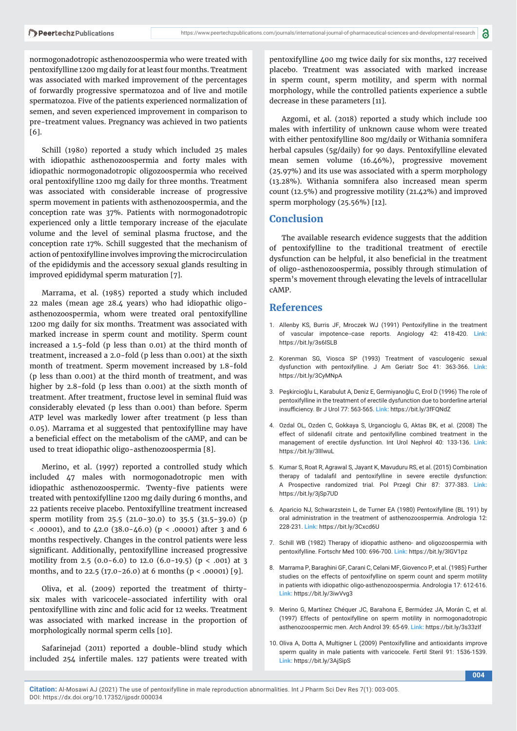normogonadotropic asthenozoospermia who were treated with pentoxifylline 1200 mg daily for at least four months. Treatment was associated with marked improvement of the percentages of forwardly progressive spermatozoa and of live and motile spermatozoa. Five of the patients experienced normalization of semen, and seven experienced improvement in comparison to pre-treatment values. Pregnancy was achieved in two patients [6].

Schill (1980) reported a study which included 25 males with idiopathic asthenozoospermia and forty males with idiopathic normogonadotropic oligozoospermia who received oral pentoxifylline 1200 mg daily for three months. Treatment was associated with considerable increase of progressive sperm movement in patients with asthenozoospermia, and the conception rate was 37%. Patients with normogonadotropic experienced only a little temporary increase of the ejaculate volume and the level of seminal plasma fructose, and the conception rate 17%. Schill suggested that the mechanism of action of pentoxifylline involves improving the microcirculation of the epididymis and the accessory sexual glands resulting in improved epididymal sperm maturation [7].

Marrama, et al. (1985) reported a study which included 22 males (mean age 28.4 years) who had idiopathic oligoasthenozoospermia, whom were treated oral pentoxifylline 1200 mg daily for six months. Treatment was associated with marked increase in sperm count and motility. Sperm count increased a 1.5-fold (p less than 0.01) at the third month of treatment, increased a 2.0-fold (p less than 0.001) at the sixth month of treatment. Sperm movement increased by 1.8-fold (p less than 0.001) at the third month of treatment, and was higher by 2.8-fold (p less than 0.001) at the sixth month of treatment. After treatment, fructose level in seminal fluid was considerably elevated (p less than 0.001) than before. Sperm ATP level was markedly lower after treatment (p less than 0.05). Marrama et al suggested that pentoxifylline may have a beneficial effect on the metabolism of the cAMP, and can be used to treat idiopathic oligo-asthenozoospermia [8].

Merino, et al. (1997) reported a controlled study which included 47 males with normogonadotropic men with idiopathic asthenozoospermic. Twenty-five patients were treated with pentoxifylline 1200 mg daily during 6 months, and 22 patients receive placebo. Pentoxifylline treatment increased sperm motility from 25.5 (21.0-30.0) to 35.5 (31.5-39.0) (p < .00001), and to 42.0 (38.0-46.0) (p < .00001) after 3 and 6 months respectively. Changes in the control patients were less significant. Additionally, pentoxifylline increased progressive motility from 2.5 (0.0-6.0) to 12.0 (6.0-19.5) ( $p < .001$ ) at 3 months, and to 22.5 (17.0-26.0) at 6 months (p < .00001) [9].

Oliva, et al. (2009) reported the treatment of thirtysix males with varicocele-associated infertility with oral pentoxifylline with zinc and folic acid for 12 weeks. Treatment was associated with marked increase in the proportion of morphologically normal sperm cells [10].

Safarinejad (2011) reported a double-blind study which included 254 infertile males. 127 patients were treated with

pentoxifylline 400 mg twice daily for six months, 127 received placebo. Treatment was associated with marked increase in sperm count, sperm motility, and sperm with normal morphology, while the controlled patients experience a subtle decrease in these parameters [11].

Azgomi, et al. (2018) reported a study which include 100 males with infertility of unknown cause whom were treated with either pentoxifylline 800 mg/daily or Withania somnifera herbal capsules (5g/daily) for 90 days. Pentoxifylline elevated mean semen volume (16.46%), progressive movement (25.97%) and its use was associated with a sperm morphology (13.28%). Withania somnifera also increased mean sperm count (12.5%) and progressive motility (21.42%) and improved sperm morphology (25.56%) [12].

#### **Conclusion**

The available research evidence suggests that the addition of pentoxifylline to the traditional treatment of erectile dvsfunction can be helpful, it also beneficial in the treatment of oligo-asthenozoospermia, possibly through stimulation of sperm's movement through elevating the levels of intracellular cAMP.

#### **References**

- 1. Allenby KS, Burris JF, Mroczek WJ (1991) Pentoxifylline in the treatment of vascular impotence--case reports. Angiology 42: 418-420. **Link:**  https://bit.ly/3s6ISLB
- 2. Korenman SG, Viosca SP (1993) Treatment of vasculogenic sexual dysfunction with pentoxifylline. J Am Geriatr Soc 41: 363-366. **Link:** https://bit.ly/3CyMNpA
- 3. Peşkircioğlu L, Karabulut A, Deniz E, Germiyanoğlu C, Erol D (1996) The role of pentoxifylline in the treatment of erectile dysfunction due to borderline arterial insufficiency. Br J Urol 77: 563-565. Link: https://bit.ly/3fFQNdZ
- 4. Ozdal OL, Ozden C, Gokkaya S, Urgancioglu G, Aktas BK, et al. (2008) The effect of sildenafil citrate and pentoxifylline combined treatment in the management of erectile dysfunction. Int Urol Nephrol 40: 133-136. **Link:** https://bit.ly/3lIlwuL
- 5. Kumar S, Roat R, Agrawal S, Jayant K, Mavuduru RS, et al. (2015) Combination therapy of tadalafil and pentoxifylline in severe erectile dysfunction: A Prospective randomized trial. Pol Przegl Chir 87: 377-383. **Link:** https://bit.ly/3jSp7UD
- 6. Aparicio NJ, Schwarzstein L, de Turner EA (1980) Pentoxifylline (BL 191) by oral administration in the treatment of asthenozoospermia. Andrologia 12: 228-231. **Link:** https://bit.ly/3Cxcd6U
- 7. Schill WB (1982) Therapy of idiopathic astheno- and oligozoospermia with pentoxifylline. Fortschr Med 100: 696-700. **Link:** https://bit.ly/3lGV1pz
- 8. Marrama P, Baraghini GF, Carani C, Celani MF, Giovenco P, et al. (1985) Further studies on the effects of pentoxifylline on sperm count and sperm motility in patients with idiopathic oligo-asthenozoospermia. Andrologia 17: 612-616. **Link:** https://bit.ly/3iwVvg3
- 9. Merino G, Martínez Chéquer JC, Barahona E, Bermúdez JA, Morán C, et al. (1997) Effects of pentoxifylline on sperm motility in normogonadotropic asthenozoospermic men. Arch Androl 39: 65-69. **Link:** https://bit.ly/3s33zIf
- 10. Oliva A, Dotta A, Multigner L (2009) Pentoxifylline and antioxidants improve sperm quality in male patients with varicocele. Fertil Steril 91: 1536-1539. **Link:** https://bit.ly/3AjSipS